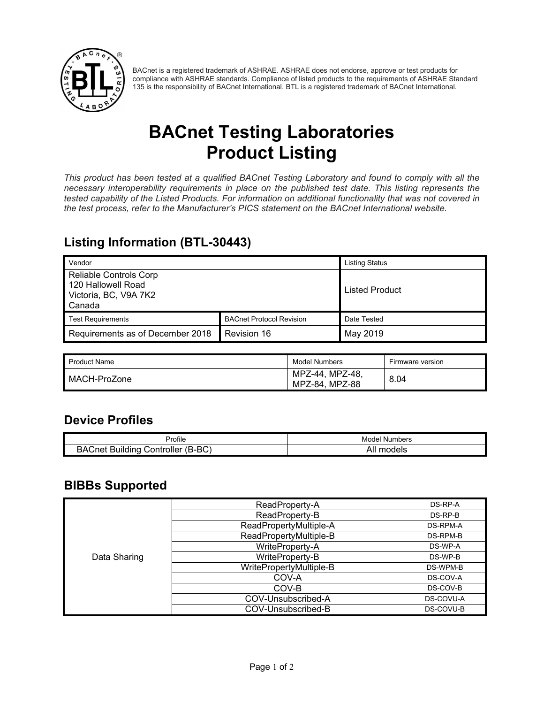

BACnet is a registered trademark of ASHRAE. ASHRAE does not endorse, approve or test products for compliance with ASHRAE standards. Compliance of listed products to the requirements of ASHRAE Standard 135 is the responsibility of BACnet International. BTL is a registered trademark of BACnet International.

# **BACnet Testing Laboratories Product Listing**

*This product has been tested at a qualified BACnet Testing Laboratory and found to comply with all the necessary interoperability requirements in place on the published test date. This listing represents the tested capability of the Listed Products. For information on additional functionality that was not covered in the test process, refer to the Manufacturer's PICS statement on the BACnet International website.*

### **Listing Information (BTL-30443)**

| Vendor                                                                                 |                                 | <b>Listing Status</b> |
|----------------------------------------------------------------------------------------|---------------------------------|-----------------------|
| <b>Reliable Controls Corp</b><br>120 Hallowell Road<br>Victoria, BC, V9A 7K2<br>Canada |                                 | Listed Product        |
| <b>Test Requirements</b>                                                               | <b>BACnet Protocol Revision</b> | Date Tested           |
| Requirements as of December 2018                                                       | Revision 16                     | May 2019              |

| Product Name | Model Numbers                     | Firmware version |
|--------------|-----------------------------------|------------------|
| MACH-ProZone | MPZ-44. MPZ-48.<br>MPZ-84. MPZ-88 | 8.04             |

#### **Device Profiles**

| Profile                                                                    | Numbers<br>Model |
|----------------------------------------------------------------------------|------------------|
| $D^{\wedge}$<br>-<br>٬۶۸<br>;ne:<br>Building<br>じontroller<br>. .<br>D-DU. | All<br>models    |

#### **BIBBs Supported**

|              | ReadProperty-A          | DS-RP-A   |
|--------------|-------------------------|-----------|
|              | ReadProperty-B          | DS-RP-B   |
|              | ReadPropertyMultiple-A  | DS-RPM-A  |
|              | ReadPropertyMultiple-B  | DS-RPM-B  |
|              | WriteProperty-A         | DS-WP-A   |
| Data Sharing | WriteProperty-B         | DS-WP-B   |
|              | WritePropertyMultiple-B | DS-WPM-B  |
|              | COV-A                   | DS-COV-A  |
|              | COV-B                   | DS-COV-B  |
|              | COV-Unsubscribed-A      | DS-COVU-A |
|              | COV-Unsubscribed-B      | DS-COVU-B |